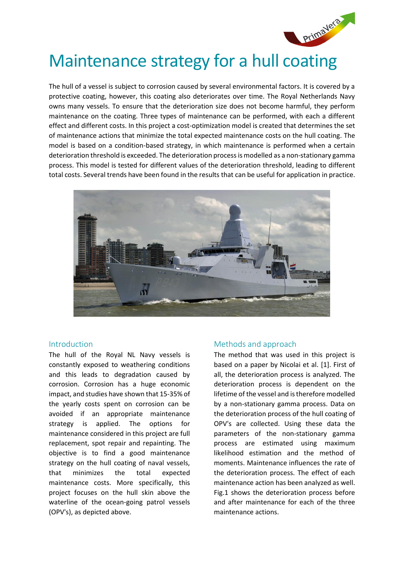

# Maintenance strategy for a hull coating

The hull of a vessel is subject to corrosion caused by several environmental factors. It is covered by a protective coating, however, this coating also deteriorates over time. The Royal Netherlands Navy owns many vessels. To ensure that the deterioration size does not become harmful, they perform maintenance on the coating. Three types of maintenance can be performed, with each a different effect and different costs. In this project a cost-optimization model is created that determines the set of maintenance actions that minimize the total expected maintenance costs on the hull coating. The model is based on a condition-based strategy, in which maintenance is performed when a certain deterioration threshold is exceeded. The deterioration process is modelled as a non-stationary gamma process. This model is tested for different values of the deterioration threshold, leading to different total costs. Several trends have been found in the results that can be useful for application in practice.



# Introduction

The hull of the Royal NL Navy vessels is constantly exposed to weathering conditions and this leads to degradation caused by corrosion. Corrosion has a huge economic impact, and studies have shown that 15-35% of the yearly costs spent on corrosion can be avoided if an appropriate maintenance strategy is applied. The options for maintenance considered in this project are full replacement, spot repair and repainting. The objective is to find a good maintenance strategy on the hull coating of naval vessels, that minimizes the total expected maintenance costs. More specifically, this project focuses on the hull skin above the waterline of the ocean-going patrol vessels (OPV's), as depicted above.

# Methods and approach

The method that was used in this project is based on a paper by Nicolai et al. [1]. First of all, the deterioration process is analyzed. The deterioration process is dependent on the lifetime of the vessel and is therefore modelled by a non-stationary gamma process. Data on the deterioration process of the hull coating of OPV's are collected. Using these data the parameters of the non-stationary gamma process are estimated using maximum likelihood estimation and the method of moments. Maintenance influences the rate of the deterioration process. The effect of each maintenance action has been analyzed as well. [Fig.1](#page-1-0) shows the deterioration process before and after maintenance for each of the three maintenance actions.